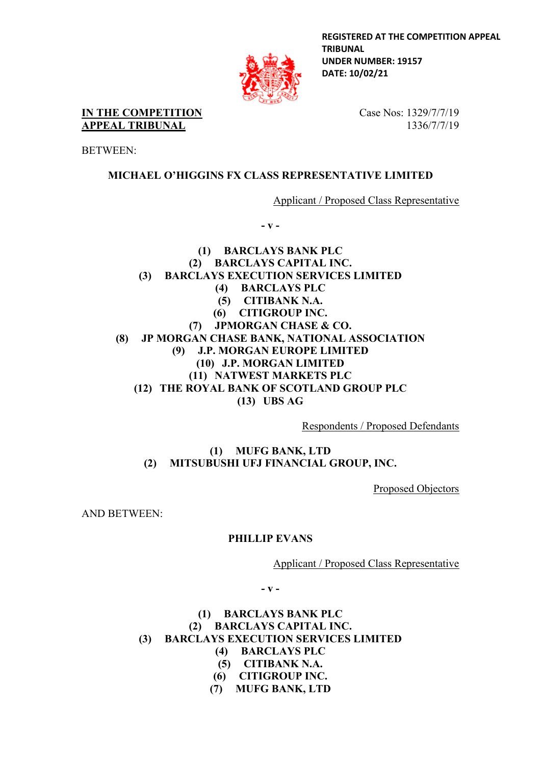

**REGISTERED AT THE COMPETITION APPEAL TRIBUNAL UNDER NUMBER: 19157 DATE: 10/02/21**

**IN THE COMPETITION APPEAL TRIBUNAL**

BETWEEN:

Case Nos: 1329/7/7/19 1336/7/7/19

# **MICHAEL O'HIGGINS FX CLASS REPRESENTATIVE LIMITED**

Applicant / Proposed Class Representative

**- v -**

**(1) BARCLAYS BANK PLC (2) BARCLAYS CAPITAL INC. (3) BARCLAYS EXECUTION SERVICES LIMITED (4) BARCLAYS PLC (5) CITIBANK N.A. (6) CITIGROUP INC. (7) JPMORGAN CHASE & CO. (8) JP MORGAN CHASE BANK, NATIONAL ASSOCIATION (9) J.P. MORGAN EUROPE LIMITED (10) J.P. MORGAN LIMITED (11) NATWEST MARKETS PLC (12) THE ROYAL BANK OF SCOTLAND GROUP PLC (13) UBS AG**

Respondents / Proposed Defendants

**(1) MUFG BANK, LTD (2) MITSUBUSHI UFJ FINANCIAL GROUP, INC.**

Proposed Objectors

AND BETWEEN:

# **PHILLIP EVANS**

Applicant / Proposed Class Representative

**- v -**

## **(1) BARCLAYS BANK PLC (2) BARCLAYS CAPITAL INC. (3) BARCLAYS EXECUTION SERVICES LIMITED (4) BARCLAYS PLC**

- **(5) CITIBANK N.A.**
- **(6) CITIGROUP INC.**
- 
- **(7) MUFG BANK, LTD**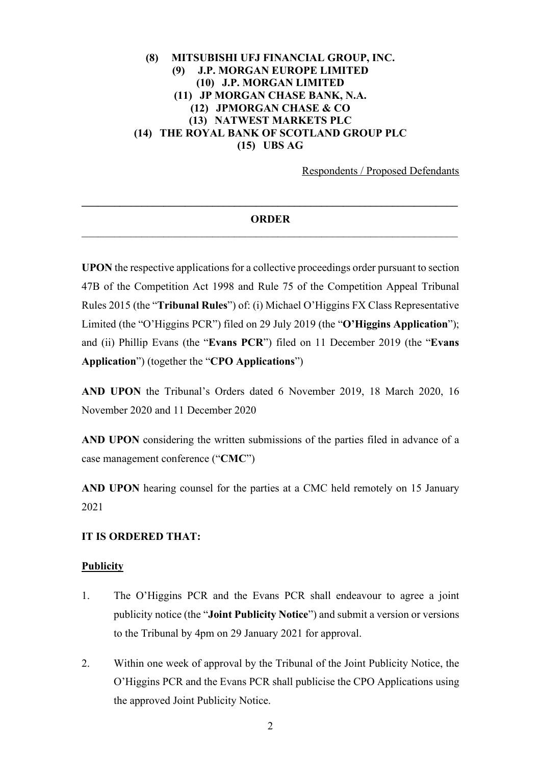## **(8) MITSUBISHI UFJ FINANCIAL GROUP, INC. (9) J.P. MORGAN EUROPE LIMITED (10) J.P. MORGAN LIMITED (11) JP MORGAN CHASE BANK, N.A. (12) JPMORGAN CHASE & CO (13) NATWEST MARKETS PLC (14) THE ROYAL BANK OF SCOTLAND GROUP PLC (15) UBS AG**

Respondents / Proposed Defendants

## **\_\_\_\_\_\_\_\_\_\_\_\_\_\_\_\_\_\_\_\_\_\_\_\_\_\_\_\_\_\_\_\_\_\_\_\_\_\_\_\_\_\_\_\_\_\_\_\_\_\_\_\_\_\_\_\_\_\_\_\_\_\_\_\_\_\_\_\_\_ ORDER**

**UPON** the respective applications for a collective proceedings order pursuant to section 47B of the Competition Act 1998 and Rule 75 of the Competition Appeal Tribunal Rules 2015 (the "**Tribunal Rules**") of: (i) Michael O'Higgins FX Class Representative Limited (the "O'Higgins PCR") filed on 29 July 2019 (the "**O'Higgins Application**"); and (ii) Phillip Evans (the "**Evans PCR**") filed on 11 December 2019 (the "**Evans Application**") (together the "**CPO Applications**")

**AND UPON** the Tribunal's Orders dated 6 November 2019, 18 March 2020, 16 November 2020 and 11 December 2020

**AND UPON** considering the written submissions of the parties filed in advance of a case management conference ("**CMC**")

**AND UPON** hearing counsel for the parties at a CMC held remotely on 15 January 2021

#### **IT IS ORDERED THAT:**

#### **Publicity**

- 1. The O'Higgins PCR and the Evans PCR shall endeavour to agree a joint publicity notice (the "**Joint Publicity Notice**") and submit a version or versions to the Tribunal by 4pm on 29 January 2021 for approval.
- 2. Within one week of approval by the Tribunal of the Joint Publicity Notice, the O'Higgins PCR and the Evans PCR shall publicise the CPO Applications using the approved Joint Publicity Notice.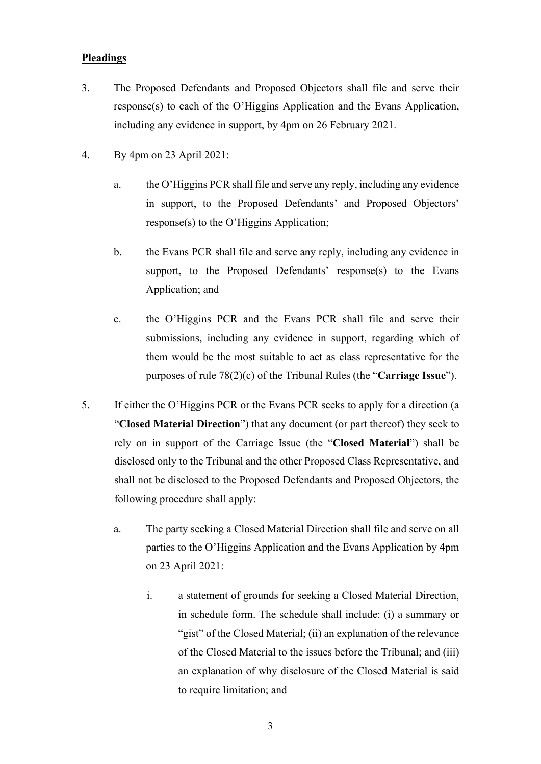### **Pleadings**

- 3. The Proposed Defendants and Proposed Objectors shall file and serve their response(s) to each of the O'Higgins Application and the Evans Application, including any evidence in support, by 4pm on 26 February 2021.
- 4. By 4pm on 23 April 2021:
	- a. the O'Higgins PCR shall file and serve any reply, including any evidence in support, to the Proposed Defendants' and Proposed Objectors' response(s) to the O'Higgins Application;
	- b. the Evans PCR shall file and serve any reply, including any evidence in support, to the Proposed Defendants' response(s) to the Evans Application; and
	- c. the O'Higgins PCR and the Evans PCR shall file and serve their submissions, including any evidence in support, regarding which of them would be the most suitable to act as class representative for the purposes of rule 78(2)(c) of the Tribunal Rules (the "**Carriage Issue**").
- 5. If either the O'Higgins PCR or the Evans PCR seeks to apply for a direction (a "**Closed Material Direction**") that any document (or part thereof) they seek to rely on in support of the Carriage Issue (the "**Closed Material**") shall be disclosed only to the Tribunal and the other Proposed Class Representative, and shall not be disclosed to the Proposed Defendants and Proposed Objectors, the following procedure shall apply:
	- a. The party seeking a Closed Material Direction shall file and serve on all parties to the O'Higgins Application and the Evans Application by 4pm on 23 April 2021:
		- i. a statement of grounds for seeking a Closed Material Direction, in schedule form. The schedule shall include: (i) a summary or "gist" of the Closed Material; (ii) an explanation of the relevance of the Closed Material to the issues before the Tribunal; and (iii) an explanation of why disclosure of the Closed Material is said to require limitation; and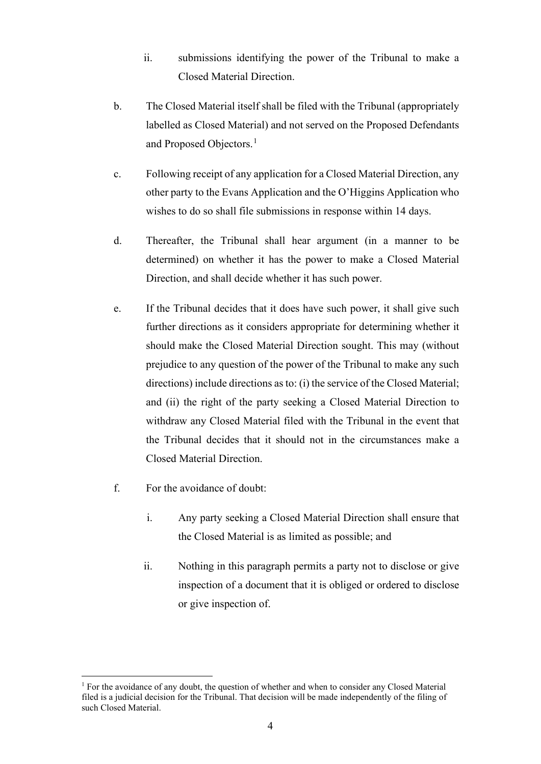- ii. submissions identifying the power of the Tribunal to make a Closed Material Direction.
- b. The Closed Material itself shall be filed with the Tribunal (appropriately labelled as Closed Material) and not served on the Proposed Defendants and Proposed Objectors. [1](#page-3-0)
- c. Following receipt of any application for a Closed Material Direction, any other party to the Evans Application and the O'Higgins Application who wishes to do so shall file submissions in response within 14 days.
- d. Thereafter, the Tribunal shall hear argument (in a manner to be determined) on whether it has the power to make a Closed Material Direction, and shall decide whether it has such power.
- e. If the Tribunal decides that it does have such power, it shall give such further directions as it considers appropriate for determining whether it should make the Closed Material Direction sought. This may (without prejudice to any question of the power of the Tribunal to make any such directions) include directions as to: (i) the service of the Closed Material; and (ii) the right of the party seeking a Closed Material Direction to withdraw any Closed Material filed with the Tribunal in the event that the Tribunal decides that it should not in the circumstances make a Closed Material Direction.
- f. For the avoidance of doubt:
	- i. Any party seeking a Closed Material Direction shall ensure that the Closed Material is as limited as possible; and
	- ii. Nothing in this paragraph permits a party not to disclose or give inspection of a document that it is obliged or ordered to disclose or give inspection of.

<span id="page-3-0"></span><sup>&</sup>lt;sup>1</sup> For the avoidance of any doubt, the question of whether and when to consider any Closed Material filed is a judicial decision for the Tribunal. That decision will be made independently of the filing of such Closed Material.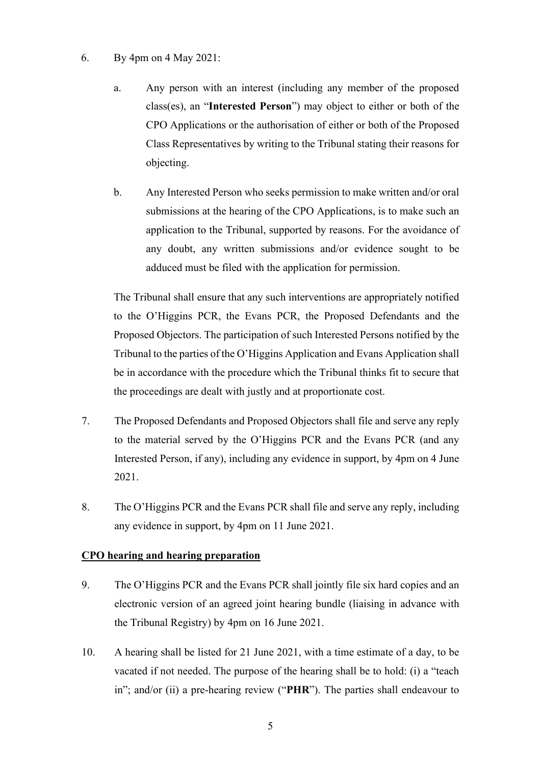- 6. By 4pm on 4 May 2021:
	- a. Any person with an interest (including any member of the proposed class(es), an "**Interested Person**") may object to either or both of the CPO Applications or the authorisation of either or both of the Proposed Class Representatives by writing to the Tribunal stating their reasons for objecting.
	- b. Any Interested Person who seeks permission to make written and/or oral submissions at the hearing of the CPO Applications, is to make such an application to the Tribunal, supported by reasons. For the avoidance of any doubt, any written submissions and/or evidence sought to be adduced must be filed with the application for permission.

The Tribunal shall ensure that any such interventions are appropriately notified to the O'Higgins PCR, the Evans PCR, the Proposed Defendants and the Proposed Objectors. The participation of such Interested Persons notified by the Tribunal to the parties of the O'Higgins Application and Evans Application shall be in accordance with the procedure which the Tribunal thinks fit to secure that the proceedings are dealt with justly and at proportionate cost.

- 7. The Proposed Defendants and Proposed Objectors shall file and serve any reply to the material served by the O'Higgins PCR and the Evans PCR (and any Interested Person, if any), including any evidence in support, by 4pm on 4 June 2021.
- 8. The O'Higgins PCR and the Evans PCR shall file and serve any reply, including any evidence in support, by 4pm on 11 June 2021.

## **CPO hearing and hearing preparation**

- 9. The O'Higgins PCR and the Evans PCR shall jointly file six hard copies and an electronic version of an agreed joint hearing bundle (liaising in advance with the Tribunal Registry) by 4pm on 16 June 2021.
- 10. A hearing shall be listed for 21 June 2021, with a time estimate of a day, to be vacated if not needed. The purpose of the hearing shall be to hold: (i) a "teach in"; and/or (ii) a pre-hearing review ("**PHR**"). The parties shall endeavour to